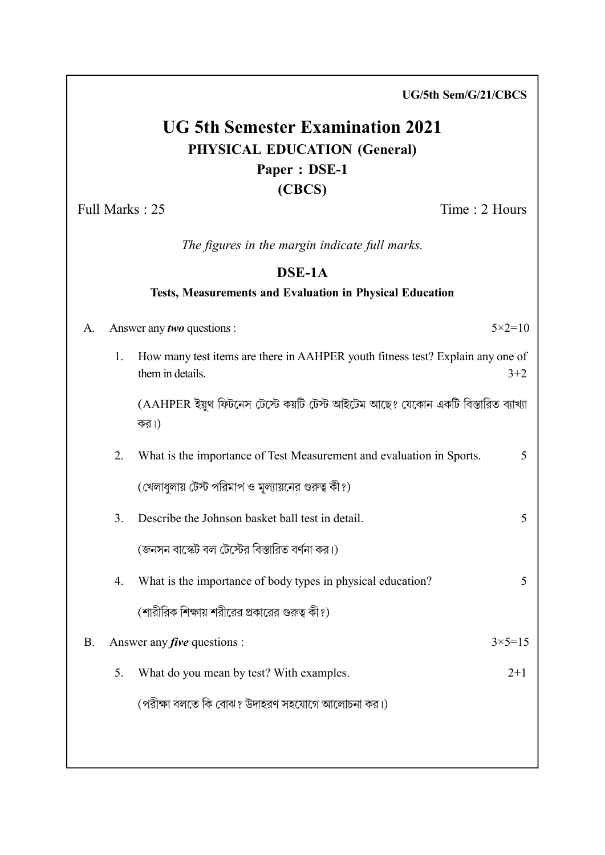UG 5th Semester Examination 2021 PHYSICAL EDUCATION (General) Paper : DSE-1 (CBCS) Full Marks : 25 Time : 2 Hours The figures in the margin indicate full marks.

## DSE-1A

#### Tests, Measurements and Evaluation in Physical Education

| A. | Answer any two questions : |                                                                                                    | $5 \times 2 = 10$ |
|----|----------------------------|----------------------------------------------------------------------------------------------------|-------------------|
|    | 1.                         | How many test items are there in AAHPER youth fitness test? Explain any one of<br>them in details. | $3 + 2$           |
|    |                            | (AAHPER ইয়ুথ ফিটনেস টেস্টে কয়টি টেস্ট আইটেম আছে? যেকোন একটি বিস্তারিত ব্যাখ্যা<br>কর।)           |                   |
|    | 2.                         | What is the importance of Test Measurement and evaluation in Sports.                               | 5                 |
|    |                            | (খেলাধুলায় টেস্ট পরিমাপ ও মূল্যায়নের গুরুত্ব কী?)                                                |                   |
|    | 3.                         | Describe the Johnson basket ball test in detail.                                                   | 5                 |
|    |                            | (জনসন বাস্কেট বল টেস্টের বিস্তারিত বর্ণনা কর।)                                                     |                   |
|    | 4.                         | What is the importance of body types in physical education?                                        | 5                 |
|    |                            | (শারীরিক শিক্ষায় শরীরের প্রকারের গুরুত্ব কী?)                                                     |                   |
| В. |                            | Answer any <i>five</i> questions :                                                                 | $3 \times 5 = 15$ |
|    | 5.                         | What do you mean by test? With examples.                                                           | $2+1$             |
|    |                            | (পরীক্ষা বলতে কি বোঝ? উদাহরণ সহযোগে আলোচনা কর।)                                                    |                   |
|    |                            |                                                                                                    |                   |

UG/5th Sem/G/21/CBCS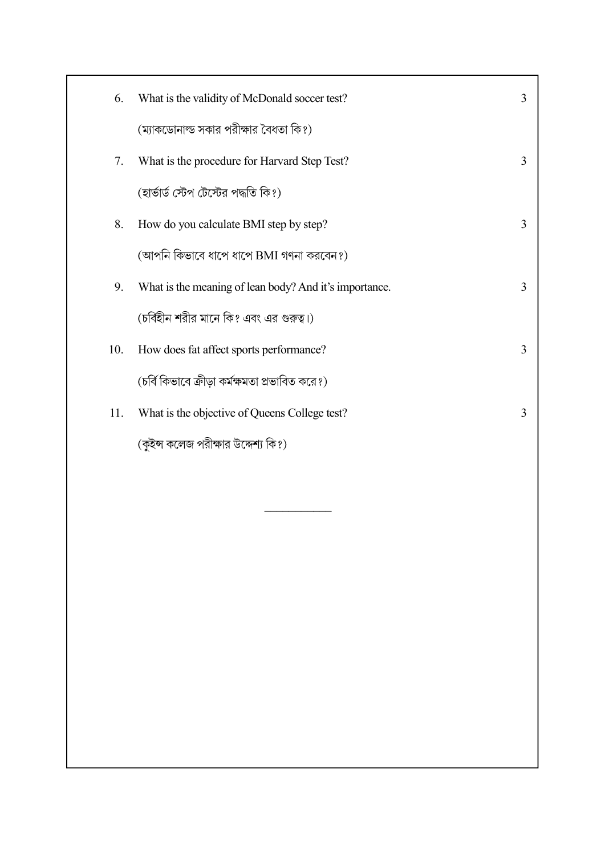| 6.  | What is the validity of McDonald soccer test?          | 3 |
|-----|--------------------------------------------------------|---|
|     | (ম্যাকডোনাল্ড সকার পরীক্ষার বৈধতা কি?)                 |   |
| 7.  | What is the procedure for Harvard Step Test?           | 3 |
|     | (হার্ভার্ড স্টেপ টেস্টের পদ্ধতি কি?)                   |   |
| 8.  | How do you calculate BMI step by step?                 | 3 |
|     | (আপনি কিভাবে ধাপে ধাপে BMI গণনা করবেন?)                |   |
| 9.  | What is the meaning of lean body? And it's importance. | 3 |
|     | (চর্বিহীন শরীর মানে কি? এবং এর গুরুত্ব।)               |   |
| 10. | How does fat affect sports performance?                | 3 |
|     | (চর্বি কিভাবে ক্রীডা কর্মক্ষমতা প্রভাবিত করে?)         |   |
| 11. | What is the objective of Queens College test?          | 3 |
|     | (কুইন্স কলেজ পরীক্ষার উদ্দেশ্য কি?)                    |   |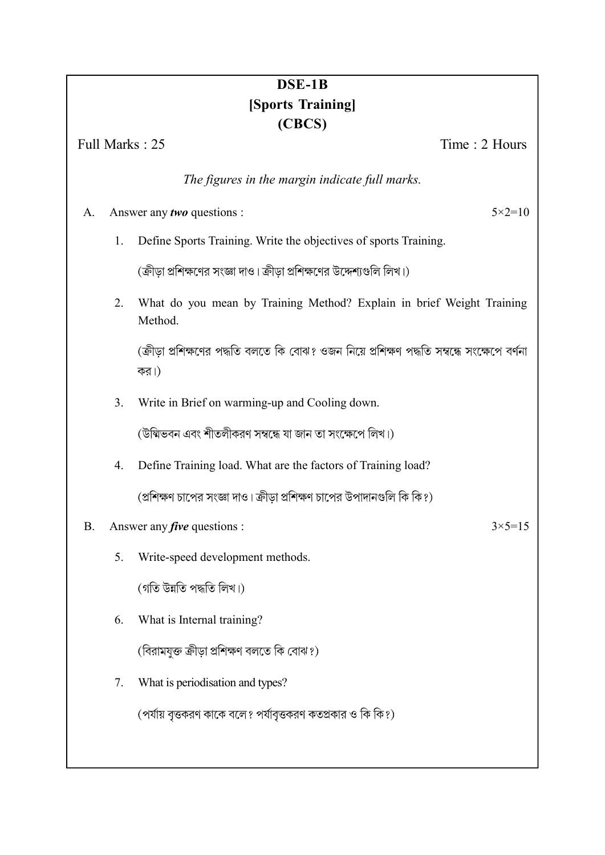# DSE-1B [Sports Training] (CBCS)

Full Marks : 25 Time : 2 Hours

The figures in the margin indicate full marks.

# A. Answer any two questions :  $5 \times 2 = 10$

1. Define Sports Training. Write the objectives of sports Training.

(ক্রীড়া প্রশিক্ষণের সংজ্ঞা দাও। ক্রীড়া প্রশিক্ষণের উদ্দেশ্যগুলি লিখ।)

2. What do you mean by Training Method? Explain in brief Weight Training Method.

(ক্রীডা প্রশিক্ষণের পদ্ধতি বলতে কি বোঝ? ওজন নিয়ে প্রশিক্ষণ পদ্ধতি সম্বন্ধে সংক্ষেপে বর্ণনা কর।)

3. Write in Brief on warming-up and Cooling down.

(উম্মিভবন এবং শীতলীকরণ সম্বন্ধে যা জান তা সংক্ষেপে লিখ।)

4. Define Training load. What are the factors of Training load? (প্রশিক্ষণ চাপের সংজ্ঞা দাও। ক্রীডা প্রশিক্ষণ চাপের উপাদানগুলি কি কি?)

## B. Answer any *five* questions :  $3 \times 5 = 15$

5. Write-speed development methods.

(গতি উন্নতি পদ্ধতি লিখ।)

6. What is Internal training?

(বিরামযক্ত ক্রীডা প্রশিক্ষণ বলতে কি বোঝ?)

7. What is periodisation and types?

(পর্যায় বৃত্তকরণ কাকে বলে? পর্যাবৃত্তকরণ কতপ্রকার ও কি কি?)